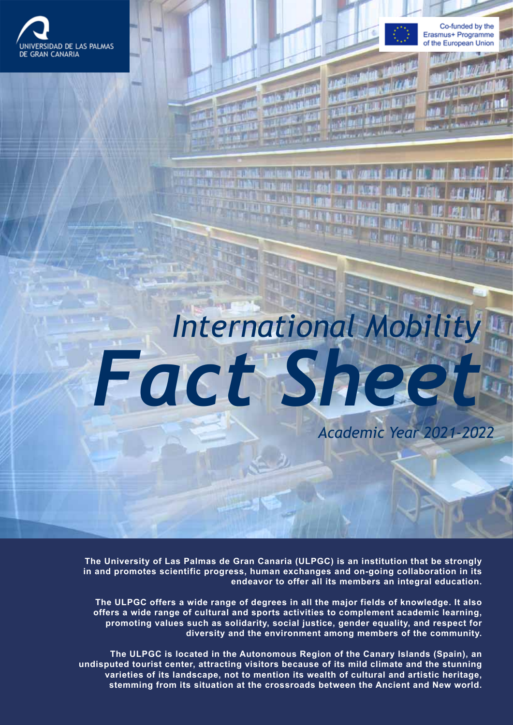



*Academic Year 2021-2022*

*International Mobility Fact Sheet*

**The University of Las Palmas de Gran Canaria (ULPGC) is an institution that be strongly in and promotes scientific progress, human exchanges and on-going collaboration in its endeavor to offer all its members an integral education.**

**The ULPGC offers a wide range of degrees in all the major fields of knowledge. It also offers a wide range of cultural and sports activities to complement academic learning, promoting values such as solidarity, social justice, gender equality, and respect for diversity and the environment among members of the community.**

**The ULPGC is located in the Autonomous Region of the Canary Islands (Spain), an undisputed tourist center, attracting visitors because of its mild climate and the stunning varieties of its landscape, not to mention its wealth of cultural and artistic heritage, stemming from its situation at the crossroads between the Ancient and New world.**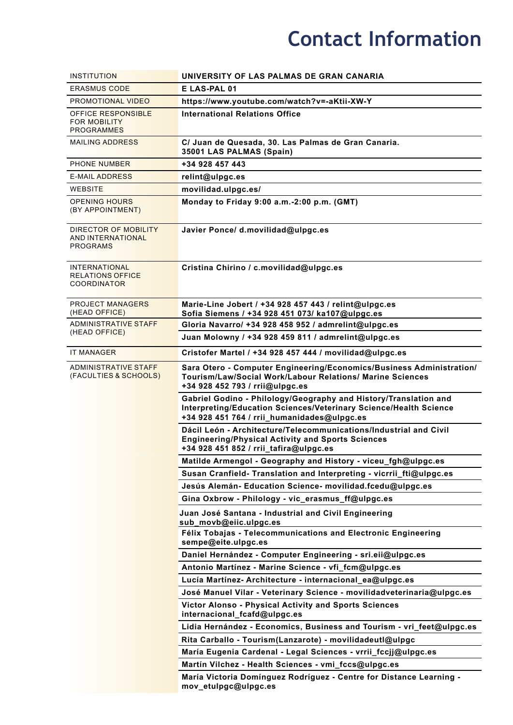## **Contact Information**

| <b>INSTITUTION</b>                                                    | UNIVERSITY OF LAS PALMAS DE GRAN CANARIA                                                                                                                                             |  |
|-----------------------------------------------------------------------|--------------------------------------------------------------------------------------------------------------------------------------------------------------------------------------|--|
| <b>ERASMUS CODE</b>                                                   | E LAS-PAL 01                                                                                                                                                                         |  |
| <b>PROMOTIONAL VIDEO</b>                                              | https://www.youtube.com/watch?v=-aKtii-XW-Y                                                                                                                                          |  |
| <b>OFFICE RESPONSIBLE</b><br><b>FOR MOBILITY</b><br><b>PROGRAMMES</b> | <b>International Relations Office</b>                                                                                                                                                |  |
| <b>MAILING ADDRESS</b>                                                | C/ Juan de Quesada, 30. Las Palmas de Gran Canaria.<br>35001 LAS PALMAS (Spain)                                                                                                      |  |
| PHONE NUMBER                                                          | +34 928 457 443                                                                                                                                                                      |  |
| <b>E-MAIL ADDRESS</b>                                                 | relint@ulpgc.es                                                                                                                                                                      |  |
| WEBSITE                                                               | movilidad.ulpgc.es/                                                                                                                                                                  |  |
| <b>OPENING HOURS</b><br>(BY APPOINTMENT)                              | Monday to Friday 9:00 a.m.-2:00 p.m. (GMT)                                                                                                                                           |  |
| DIRECTOR OF MOBILITY<br><b>AND INTERNATIONAL</b><br><b>PROGRAMS</b>   | Javier Ponce/ d.movilidad@ulpgc.es                                                                                                                                                   |  |
| <b>INTERNATIONAL</b><br><b>RELATIONS OFFICE</b><br><b>COORDINATOR</b> | Cristina Chirino / c.movilidad@ulpgc.es                                                                                                                                              |  |
| <b>PROJECT MANAGERS</b><br>(HEAD OFFICE)                              | Marie-Line Jobert / +34 928 457 443 / relint@ulpgc.es<br>Sofia Siemens / +34 928 451 073/ ka107@ulpgc.es                                                                             |  |
| <b>ADMINISTRATIVE STAFF</b><br>(HEAD OFFICE)                          | Gloria Navarro/ +34 928 458 952 / admrelint@ulpgc.es                                                                                                                                 |  |
|                                                                       | Juan Molowny / +34 928 459 811 / admrelint@ulpgc.es                                                                                                                                  |  |
| <b>IT MANAGER</b>                                                     | Cristofer Martel / +34 928 457 444 / movilidad@ulpgc.es                                                                                                                              |  |
| <b>ADMINISTRATIVE STAFF</b><br>(FACULTIES & SCHOOLS)                  | Sara Otero - Computer Engineering/Economics/Business Administration/<br>Tourism/Law/Social Work/Labour Relations/ Marine Sciences<br>+34 928 452 793 / rrii@ulpgc.es                 |  |
|                                                                       | Gabriel Godino - Philology/Geography and History/Translation and<br>Interpreting/Education Sciences/Veterinary Science/Health Science<br>+34 928 451 764 / rrii_humanidades@ulpgc.es |  |
|                                                                       | Dácil León - Architecture/Telecommunications/Industrial and Civil<br><b>Engineering/Physical Activity and Sports Sciences</b><br>+34 928 451 852 / rrii_tafira@ulpgc.es              |  |
|                                                                       | Matilde Armengol - Geography and History - viceu_fgh@ulpgc.es                                                                                                                        |  |
|                                                                       | Susan Cranfield- Translation and Interpreting - vicrrii_fti@ulpgc.es                                                                                                                 |  |
|                                                                       | Jesús Alemán- Education Science- movilidad.fcedu@ulpgc.es                                                                                                                            |  |
|                                                                       | Gina Oxbrow - Philology - vic_erasmus_ff@ulpgc.es                                                                                                                                    |  |
|                                                                       | Juan José Santana - Industrial and Civil Engineering<br>sub_movb@eiic.ulpgc.es                                                                                                       |  |
|                                                                       | Félix Tobajas - Telecommunications and Electronic Engineering<br>sempe@eite.ulpgc.es                                                                                                 |  |
|                                                                       | Daniel Hernández - Computer Engineering - sri.eii@ulpgc.es                                                                                                                           |  |
|                                                                       | Antonio Martínez - Marine Science - vfi_fcm@ulpgc.es                                                                                                                                 |  |
|                                                                       | Lucía Martínez- Architecture - internacional_ea@ulpgc.es                                                                                                                             |  |
|                                                                       | José Manuel Vilar - Veterinary Science - movilidadveterinaria@ulpgc.es                                                                                                               |  |
|                                                                       | Victor Alonso - Physical Activity and Sports Sciences<br>internacional_fcafd@ulpgc.es                                                                                                |  |
|                                                                       | Lidia Hernández - Economics, Business and Tourism - vri_feet@ulpgc.es                                                                                                                |  |
|                                                                       | Rita Carballo - Tourism (Lanzarote) - movilidadeutl@ulpgc                                                                                                                            |  |
|                                                                       | María Eugenia Cardenal - Legal Sciences - vrrii_fccjj@ulpgc.es                                                                                                                       |  |
|                                                                       | Martín Vilchez - Health Sciences - vmi_fccs@ulpgc.es                                                                                                                                 |  |
|                                                                       | María Victoria Domínguez Rodríguez - Centre for Distance Learning -<br>mov_etulpgc@ulpgc.es                                                                                          |  |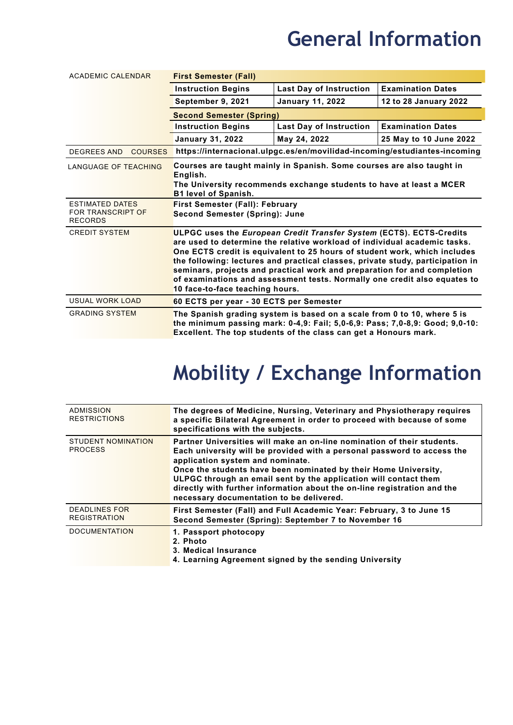#### **General Information**

| <b>ACADEMIC CALENDAR</b>                                             | <b>First Semester (Fall)</b>                                                                                                                                                                                                                                                                                                                                                                                                                                                                                |                                                                                                                                                                                                                             |                                                                           |
|----------------------------------------------------------------------|-------------------------------------------------------------------------------------------------------------------------------------------------------------------------------------------------------------------------------------------------------------------------------------------------------------------------------------------------------------------------------------------------------------------------------------------------------------------------------------------------------------|-----------------------------------------------------------------------------------------------------------------------------------------------------------------------------------------------------------------------------|---------------------------------------------------------------------------|
|                                                                      | <b>Instruction Begins</b>                                                                                                                                                                                                                                                                                                                                                                                                                                                                                   | <b>Last Day of Instruction</b>                                                                                                                                                                                              | <b>Examination Dates</b>                                                  |
|                                                                      | September 9, 2021                                                                                                                                                                                                                                                                                                                                                                                                                                                                                           | <b>January 11, 2022</b>                                                                                                                                                                                                     | 12 to 28 January 2022                                                     |
|                                                                      | <b>Second Semester (Spring)</b>                                                                                                                                                                                                                                                                                                                                                                                                                                                                             |                                                                                                                                                                                                                             |                                                                           |
|                                                                      | <b>Instruction Begins</b>                                                                                                                                                                                                                                                                                                                                                                                                                                                                                   | <b>Last Day of Instruction</b>                                                                                                                                                                                              | <b>Examination Dates</b>                                                  |
|                                                                      | <b>January 31, 2022</b>                                                                                                                                                                                                                                                                                                                                                                                                                                                                                     | May 24, 2022                                                                                                                                                                                                                | 25 May to 10 June 2022                                                    |
| <b>DEGREES AND</b><br><b>COURSES</b>                                 |                                                                                                                                                                                                                                                                                                                                                                                                                                                                                                             |                                                                                                                                                                                                                             | https://internacional.ulpgc.es/en/movilidad-incoming/estudiantes-incoming |
| <b>LANGUAGE OF TEACHING</b>                                          | Courses are taught mainly in Spanish. Some courses are also taught in<br>English.<br>The University recommends exchange students to have at least a MCER<br><b>B1 level of Spanish.</b>                                                                                                                                                                                                                                                                                                                     |                                                                                                                                                                                                                             |                                                                           |
| <b>ESTIMATED DATES</b><br><b>FOR TRANSCRIPT OF</b><br><b>RECORDS</b> | <b>First Semester (Fall): February</b><br><b>Second Semester (Spring): June</b>                                                                                                                                                                                                                                                                                                                                                                                                                             |                                                                                                                                                                                                                             |                                                                           |
| <b>CREDIT SYSTEM</b>                                                 | ULPGC uses the European Credit Transfer System (ECTS). ECTS-Credits<br>are used to determine the relative workload of individual academic tasks.<br>One ECTS credit is equivalent to 25 hours of student work, which includes<br>the following: lectures and practical classes, private study, participation in<br>seminars, projects and practical work and preparation for and completion<br>of examinations and assessment tests. Normally one credit also equates to<br>10 face-to-face teaching hours. |                                                                                                                                                                                                                             |                                                                           |
| USUAL WORK LOAD                                                      | 60 ECTS per year - 30 ECTS per Semester                                                                                                                                                                                                                                                                                                                                                                                                                                                                     |                                                                                                                                                                                                                             |                                                                           |
| <b>GRADING SYSTEM</b>                                                |                                                                                                                                                                                                                                                                                                                                                                                                                                                                                                             | The Spanish grading system is based on a scale from 0 to 10, where 5 is<br>the minimum passing mark: 0-4,9: Fail; 5,0-6,9: Pass; 7,0-8,9: Good; 9,0-10:<br>Excellent. The top students of the class can get a Honours mark. |                                                                           |

### **Mobility / Exchange Information**

| ADMISSION<br><b>RESTRICTIONS</b>            | The degrees of Medicine, Nursing, Veterinary and Physiotherapy requires<br>a specific Bilateral Agreement in order to proceed with because of some<br>specifications with the subjects.                                                                                                                                                                                                                                                               |
|---------------------------------------------|-------------------------------------------------------------------------------------------------------------------------------------------------------------------------------------------------------------------------------------------------------------------------------------------------------------------------------------------------------------------------------------------------------------------------------------------------------|
| <b>STUDENT NOMINATION</b><br><b>PROCESS</b> | Partner Universities will make an on-line nomination of their students.<br>Each university will be provided with a personal password to access the<br>application system and nominate.<br>Once the students have been nominated by their Home University,<br>ULPGC through an email sent by the application will contact them<br>directly with further information about the on-line registration and the<br>necessary documentation to be delivered. |
| <b>DEADLINES FOR</b><br><b>REGISTRATION</b> | First Semester (Fall) and Full Academic Year: February, 3 to June 15<br>Second Semester (Spring): September 7 to November 16                                                                                                                                                                                                                                                                                                                          |
| <b>DOCUMENTATION</b>                        | 1. Passport photocopy<br>2. Photo<br>3. Medical Insurance<br>4. Learning Agreement signed by the sending University                                                                                                                                                                                                                                                                                                                                   |